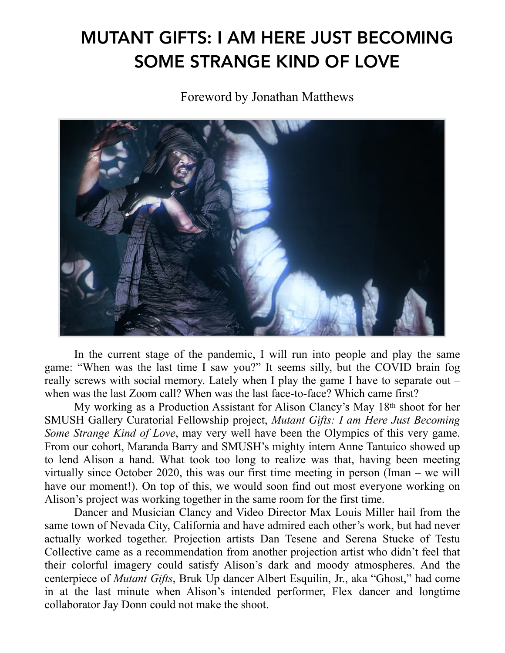## MUTANT GIFTS: I AM HERE JUST BECOMING SOME STRANGE KIND OF LOVE

Foreword by Jonathan Matthews



In the current stage of the pandemic, I will run into people and play the same game: "When was the last time I saw you?" It seems silly, but the COVID brain fog really screws with social memory. Lately when I play the game I have to separate out – when was the last Zoom call? When was the last face-to-face? Which came first?

My working as a Production Assistant for Alison Clancy's May 18th shoot for her SMUSH Gallery Curatorial Fellowship project, *Mutant Gifts: I am Here Just Becoming Some Strange Kind of Love*, may very well have been the Olympics of this very game. From our cohort, Maranda Barry and SMUSH's mighty intern Anne Tantuico showed up to lend Alison a hand. What took too long to realize was that, having been meeting virtually since October 2020, this was our first time meeting in person (Iman – we will have our moment!). On top of this, we would soon find out most everyone working on Alison's project was working together in the same room for the first time.

Dancer and Musician Clancy and Video Director Max Louis Miller hail from the same town of Nevada City, California and have admired each other's work, but had never actually worked together. Projection artists Dan Tesene and Serena Stucke of Testu Collective came as a recommendation from another projection artist who didn't feel that their colorful imagery could satisfy Alison's dark and moody atmospheres. And the centerpiece of *Mutant Gifts*, Bruk Up dancer Albert Esquilin, Jr., aka "Ghost," had come in at the last minute when Alison's intended performer, Flex dancer and longtime collaborator Jay Donn could not make the shoot.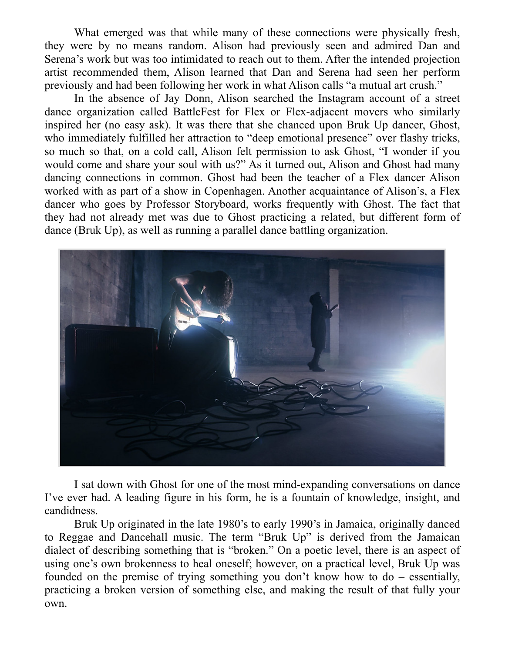What emerged was that while many of these connections were physically fresh, they were by no means random. Alison had previously seen and admired Dan and Serena's work but was too intimidated to reach out to them. After the intended projection artist recommended them, Alison learned that Dan and Serena had seen her perform previously and had been following her work in what Alison calls "a mutual art crush."

In the absence of Jay Donn, Alison searched the Instagram account of a street dance organization called BattleFest for Flex or Flex-adjacent movers who similarly inspired her (no easy ask). It was there that she chanced upon Bruk Up dancer, Ghost, who immediately fulfilled her attraction to "deep emotional presence" over flashy tricks, so much so that, on a cold call, Alison felt permission to ask Ghost, "I wonder if you would come and share your soul with us?" As it turned out, Alison and Ghost had many dancing connections in common. Ghost had been the teacher of a Flex dancer Alison worked with as part of a show in Copenhagen. Another acquaintance of Alison's, a Flex dancer who goes by Professor Storyboard, works frequently with Ghost. The fact that they had not already met was due to Ghost practicing a related, but different form of dance (Bruk Up), as well as running a parallel dance battling organization.



I sat down with Ghost for one of the most mind-expanding conversations on dance I've ever had. A leading figure in his form, he is a fountain of knowledge, insight, and candidness.

Bruk Up originated in the late 1980's to early 1990's in Jamaica, originally danced to Reggae and Dancehall music. The term "Bruk Up" is derived from the Jamaican dialect of describing something that is "broken." On a poetic level, there is an aspect of using one's own brokenness to heal oneself; however, on a practical level, Bruk Up was founded on the premise of trying something you don't know how to do – essentially, practicing a broken version of something else, and making the result of that fully your own.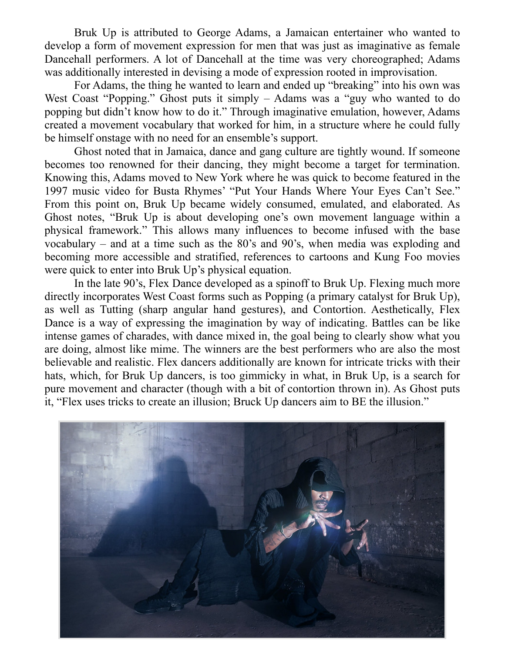Bruk Up is attributed to George Adams, a Jamaican entertainer who wanted to develop a form of movement expression for men that was just as imaginative as female Dancehall performers. A lot of Dancehall at the time was very choreographed; Adams was additionally interested in devising a mode of expression rooted in improvisation.

For Adams, the thing he wanted to learn and ended up "breaking" into his own was West Coast "Popping." Ghost puts it simply – Adams was a "guy who wanted to do popping but didn't know how to do it." Through imaginative emulation, however, Adams created a movement vocabulary that worked for him, in a structure where he could fully be himself onstage with no need for an ensemble's support.

Ghost noted that in Jamaica, dance and gang culture are tightly wound. If someone becomes too renowned for their dancing, they might become a target for termination. Knowing this, Adams moved to New York where he was quick to become featured in the 1997 music video for Busta Rhymes' "Put Your Hands Where Your Eyes Can't See." From this point on, Bruk Up became widely consumed, emulated, and elaborated. As Ghost notes, "Bruk Up is about developing one's own movement language within a physical framework." This allows many influences to become infused with the base vocabulary – and at a time such as the 80's and 90's, when media was exploding and becoming more accessible and stratified, references to cartoons and Kung Foo movies were quick to enter into Bruk Up's physical equation.

In the late 90's, Flex Dance developed as a spinoff to Bruk Up. Flexing much more directly incorporates West Coast forms such as Popping (a primary catalyst for Bruk Up), as well as Tutting (sharp angular hand gestures), and Contortion. Aesthetically, Flex Dance is a way of expressing the imagination by way of indicating. Battles can be like intense games of charades, with dance mixed in, the goal being to clearly show what you are doing, almost like mime. The winners are the best performers who are also the most believable and realistic. Flex dancers additionally are known for intricate tricks with their hats, which, for Bruk Up dancers, is too gimmicky in what, in Bruk Up, is a search for pure movement and character (though with a bit of contortion thrown in). As Ghost puts it, "Flex uses tricks to create an illusion; Bruck Up dancers aim to BE the illusion."

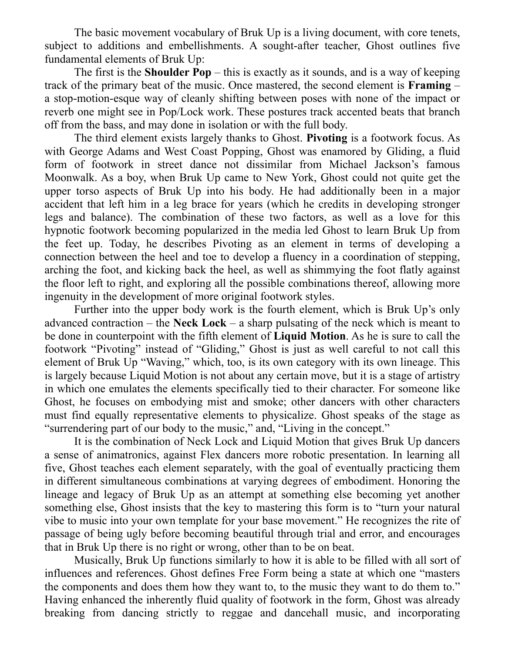The basic movement vocabulary of Bruk Up is a living document, with core tenets, subject to additions and embellishments. A sought-after teacher, Ghost outlines five fundamental elements of Bruk Up:

The first is the **Shoulder Pop** – this is exactly as it sounds, and is a way of keeping track of the primary beat of the music. Once mastered, the second element is **Framing** – a stop-motion-esque way of cleanly shifting between poses with none of the impact or reverb one might see in Pop/Lock work. These postures track accented beats that branch off from the bass, and may done in isolation or with the full body.

The third element exists largely thanks to Ghost. **Pivoting** is a footwork focus. As with George Adams and West Coast Popping, Ghost was enamored by Gliding, a fluid form of footwork in street dance not dissimilar from Michael Jackson's famous Moonwalk. As a boy, when Bruk Up came to New York, Ghost could not quite get the upper torso aspects of Bruk Up into his body. He had additionally been in a major accident that left him in a leg brace for years (which he credits in developing stronger legs and balance). The combination of these two factors, as well as a love for this hypnotic footwork becoming popularized in the media led Ghost to learn Bruk Up from the feet up. Today, he describes Pivoting as an element in terms of developing a connection between the heel and toe to develop a fluency in a coordination of stepping, arching the foot, and kicking back the heel, as well as shimmying the foot flatly against the floor left to right, and exploring all the possible combinations thereof, allowing more ingenuity in the development of more original footwork styles.

Further into the upper body work is the fourth element, which is Bruk Up's only advanced contraction – the **Neck Lock** – a sharp pulsating of the neck which is meant to be done in counterpoint with the fifth element of **Liquid Motion**. As he is sure to call the footwork "Pivoting" instead of "Gliding," Ghost is just as well careful to not call this element of Bruk Up "Waving," which, too, is its own category with its own lineage. This is largely because Liquid Motion is not about any certain move, but it is a stage of artistry in which one emulates the elements specifically tied to their character. For someone like Ghost, he focuses on embodying mist and smoke; other dancers with other characters must find equally representative elements to physicalize. Ghost speaks of the stage as "surrendering part of our body to the music," and, "Living in the concept."

It is the combination of Neck Lock and Liquid Motion that gives Bruk Up dancers a sense of animatronics, against Flex dancers more robotic presentation. In learning all five, Ghost teaches each element separately, with the goal of eventually practicing them in different simultaneous combinations at varying degrees of embodiment. Honoring the lineage and legacy of Bruk Up as an attempt at something else becoming yet another something else, Ghost insists that the key to mastering this form is to "turn your natural vibe to music into your own template for your base movement." He recognizes the rite of passage of being ugly before becoming beautiful through trial and error, and encourages that in Bruk Up there is no right or wrong, other than to be on beat.

Musically, Bruk Up functions similarly to how it is able to be filled with all sort of influences and references. Ghost defines Free Form being a state at which one "masters the components and does them how they want to, to the music they want to do them to." Having enhanced the inherently fluid quality of footwork in the form, Ghost was already breaking from dancing strictly to reggae and dancehall music, and incorporating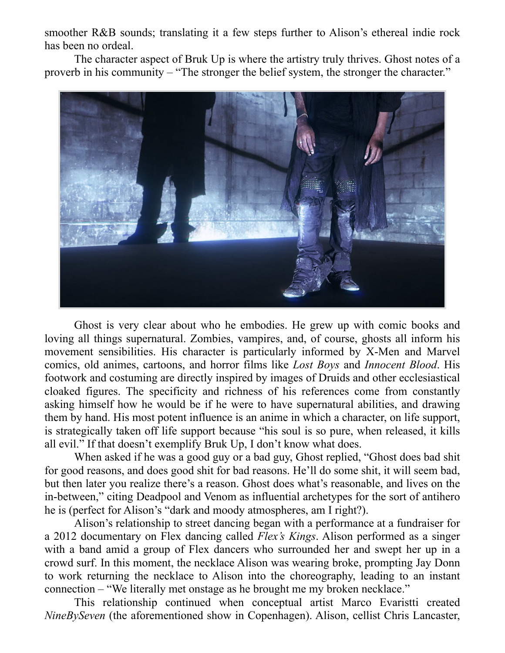smoother R&B sounds; translating it a few steps further to Alison's ethereal indie rock has been no ordeal.

The character aspect of Bruk Up is where the artistry truly thrives. Ghost notes of a proverb in his community – "The stronger the belief system, the stronger the character."



Ghost is very clear about who he embodies. He grew up with comic books and loving all things supernatural. Zombies, vampires, and, of course, ghosts all inform his movement sensibilities. His character is particularly informed by X-Men and Marvel comics, old animes, cartoons, and horror films like *Lost Boys* and *Innocent Blood*. His footwork and costuming are directly inspired by images of Druids and other ecclesiastical cloaked figures. The specificity and richness of his references come from constantly asking himself how he would be if he were to have supernatural abilities, and drawing them by hand. His most potent influence is an anime in which a character, on life support, is strategically taken off life support because "his soul is so pure, when released, it kills all evil." If that doesn't exemplify Bruk Up, I don't know what does.

When asked if he was a good guy or a bad guy, Ghost replied, "Ghost does bad shit for good reasons, and does good shit for bad reasons. He'll do some shit, it will seem bad, but then later you realize there's a reason. Ghost does what's reasonable, and lives on the in-between," citing Deadpool and Venom as influential archetypes for the sort of antihero he is (perfect for Alison's "dark and moody atmospheres, am I right?).

Alison's relationship to street dancing began with a performance at a fundraiser for a 2012 documentary on Flex dancing called *Flex's Kings*. Alison performed as a singer with a band amid a group of Flex dancers who surrounded her and swept her up in a crowd surf. In this moment, the necklace Alison was wearing broke, prompting Jay Donn to work returning the necklace to Alison into the choreography, leading to an instant connection – "We literally met onstage as he brought me my broken necklace."

This relationship continued when conceptual artist Marco Evaristti created *NineBySeven* (the aforementioned show in Copenhagen). Alison, cellist Chris Lancaster,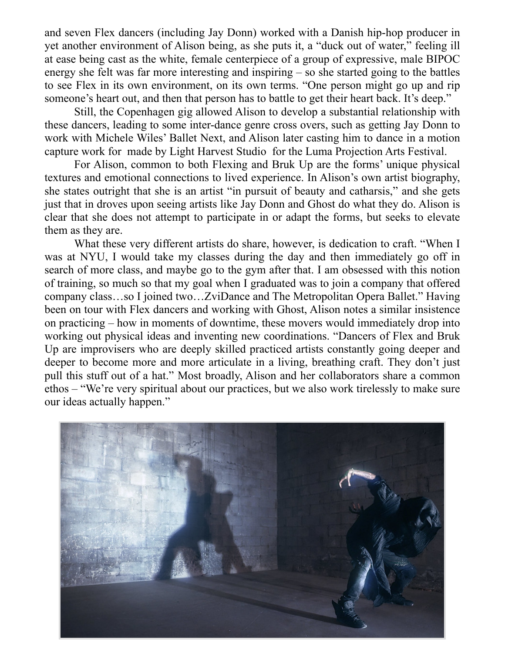and seven Flex dancers (including Jay Donn) worked with a Danish hip-hop producer in yet another environment of Alison being, as she puts it, a "duck out of water," feeling ill at ease being cast as the white, female centerpiece of a group of expressive, male BIPOC energy she felt was far more interesting and inspiring – so she started going to the battles to see Flex in its own environment, on its own terms. "One person might go up and rip someone's heart out, and then that person has to battle to get their heart back. It's deep."

Still, the Copenhagen gig allowed Alison to develop a substantial relationship with these dancers, leading to some inter-dance genre cross overs, such as getting Jay Donn to work with Michele Wiles' Ballet Next, and Alison later casting him to dance in a motion capture work for made by Light Harvest Studio for the Luma Projection Arts Festival.

 For Alison, common to both Flexing and Bruk Up are the forms' unique physical textures and emotional connections to lived experience. In Alison's own artist biography, she states outright that she is an artist "in pursuit of beauty and catharsis," and she gets just that in droves upon seeing artists like Jay Donn and Ghost do what they do. Alison is clear that she does not attempt to participate in or adapt the forms, but seeks to elevate them as they are.

What these very different artists do share, however, is dedication to craft. "When I was at NYU, I would take my classes during the day and then immediately go off in search of more class, and maybe go to the gym after that. I am obsessed with this notion of training, so much so that my goal when I graduated was to join a company that offered company class…so I joined two…ZviDance and The Metropolitan Opera Ballet." Having been on tour with Flex dancers and working with Ghost, Alison notes a similar insistence on practicing – how in moments of downtime, these movers would immediately drop into working out physical ideas and inventing new coordinations. "Dancers of Flex and Bruk Up are improvisers who are deeply skilled practiced artists constantly going deeper and deeper to become more and more articulate in a living, breathing craft. They don't just pull this stuff out of a hat." Most broadly, Alison and her collaborators share a common ethos – "We're very spiritual about our practices, but we also work tirelessly to make sure our ideas actually happen."